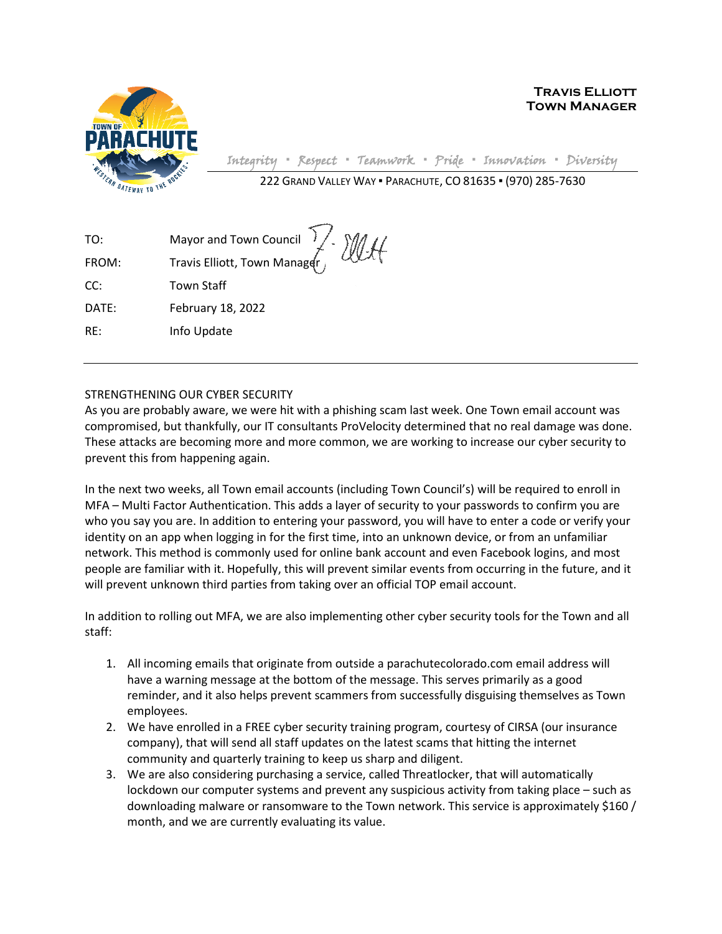

**Travis Elliott Town Manager**

Integrity **▪** Respect **▪** Teamwork **▪** Pride **▪** Innovation **▪** Diversity

222 GRAND VALLEY WAY ▪ PARACHUTE, CO 81635 ▪ (970) 285-7630

| TO:   | Mayor and Town Council V. MAH |
|-------|-------------------------------|
| FROM: |                               |
| CC:   | Town Staff                    |
| DATE: | February 18, 2022             |
| RE:   | Info Update                   |

## STRENGTHENING OUR CYBER SECURITY

As you are probably aware, we were hit with a phishing scam last week. One Town email account was compromised, but thankfully, our IT consultants ProVelocity determined that no real damage was done. These attacks are becoming more and more common, we are working to increase our cyber security to prevent this from happening again.

In the next two weeks, all Town email accounts (including Town Council's) will be required to enroll in MFA – Multi Factor Authentication. This adds a layer of security to your passwords to confirm you are who you say you are. In addition to entering your password, you will have to enter a code or verify your identity on an app when logging in for the first time, into an unknown device, or from an unfamiliar network. This method is commonly used for online bank account and even Facebook logins, and most people are familiar with it. Hopefully, this will prevent similar events from occurring in the future, and it will prevent unknown third parties from taking over an official TOP email account.

In addition to rolling out MFA, we are also implementing other cyber security tools for the Town and all staff:

- 1. All incoming emails that originate from outside a parachutecolorado.com email address will have a warning message at the bottom of the message. This serves primarily as a good reminder, and it also helps prevent scammers from successfully disguising themselves as Town employees.
- 2. We have enrolled in a FREE cyber security training program, courtesy of CIRSA (our insurance company), that will send all staff updates on the latest scams that hitting the internet community and quarterly training to keep us sharp and diligent.
- 3. We are also considering purchasing a service, called Threatlocker, that will automatically lockdown our computer systems and prevent any suspicious activity from taking place – such as downloading malware or ransomware to the Town network. This service is approximately \$160 / month, and we are currently evaluating its value.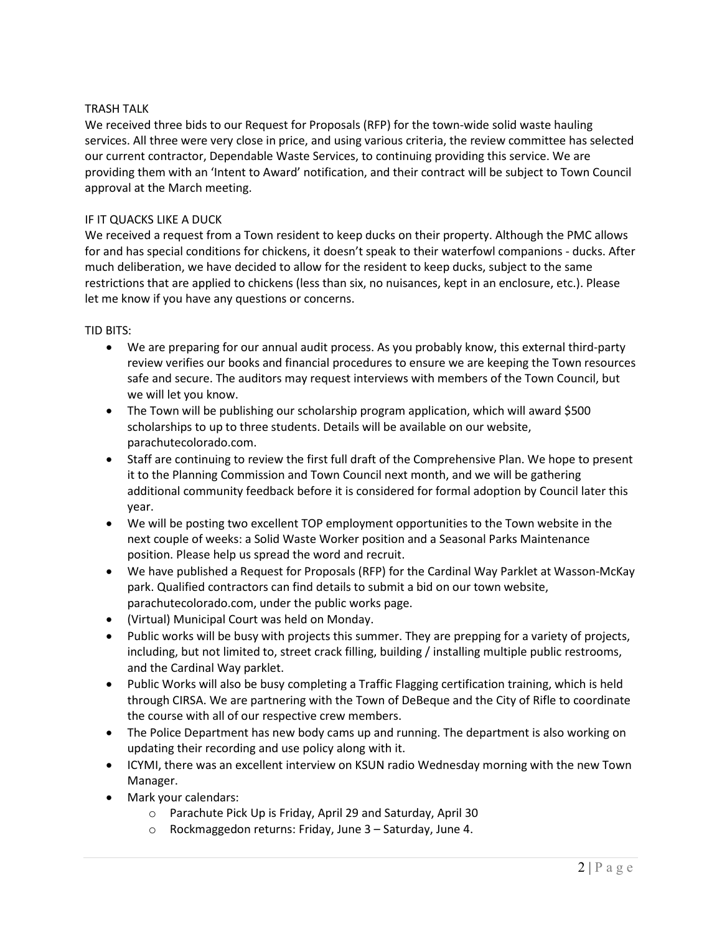## TRASH TALK

We received three bids to our Request for Proposals (RFP) for the town-wide solid waste hauling services. All three were very close in price, and using various criteria, the review committee has selected our current contractor, Dependable Waste Services, to continuing providing this service. We are providing them with an 'Intent to Award' notification, and their contract will be subject to Town Council approval at the March meeting.

## IF IT QUACKS LIKE A DUCK

We received a request from a Town resident to keep ducks on their property. Although the PMC allows for and has special conditions for chickens, it doesn't speak to their waterfowl companions - ducks. After much deliberation, we have decided to allow for the resident to keep ducks, subject to the same restrictions that are applied to chickens (less than six, no nuisances, kept in an enclosure, etc.). Please let me know if you have any questions or concerns.

## TID BITS:

- We are preparing for our annual audit process. As you probably know, this external third-party review verifies our books and financial procedures to ensure we are keeping the Town resources safe and secure. The auditors may request interviews with members of the Town Council, but we will let you know.
- The Town will be publishing our scholarship program application, which will award \$500 scholarships to up to three students. Details will be available on our website, parachutecolorado.com.
- Staff are continuing to review the first full draft of the Comprehensive Plan. We hope to present it to the Planning Commission and Town Council next month, and we will be gathering additional community feedback before it is considered for formal adoption by Council later this year.
- We will be posting two excellent TOP employment opportunities to the Town website in the next couple of weeks: a Solid Waste Worker position and a Seasonal Parks Maintenance position. Please help us spread the word and recruit.
- We have published a Request for Proposals (RFP) for the Cardinal Way Parklet at Wasson-McKay park. Qualified contractors can find details to submit a bid on our town website, parachutecolorado.com, under the public works page.
- (Virtual) Municipal Court was held on Monday.
- Public works will be busy with projects this summer. They are prepping for a variety of projects, including, but not limited to, street crack filling, building / installing multiple public restrooms, and the Cardinal Way parklet.
- Public Works will also be busy completing a Traffic Flagging certification training, which is held through CIRSA. We are partnering with the Town of DeBeque and the City of Rifle to coordinate the course with all of our respective crew members.
- The Police Department has new body cams up and running. The department is also working on updating their recording and use policy along with it.
- ICYMI, there was an excellent interview on KSUN radio Wednesday morning with the new Town Manager.
- Mark your calendars:
	- o Parachute Pick Up is Friday, April 29 and Saturday, April 30
	- o Rockmaggedon returns: Friday, June 3 Saturday, June 4.